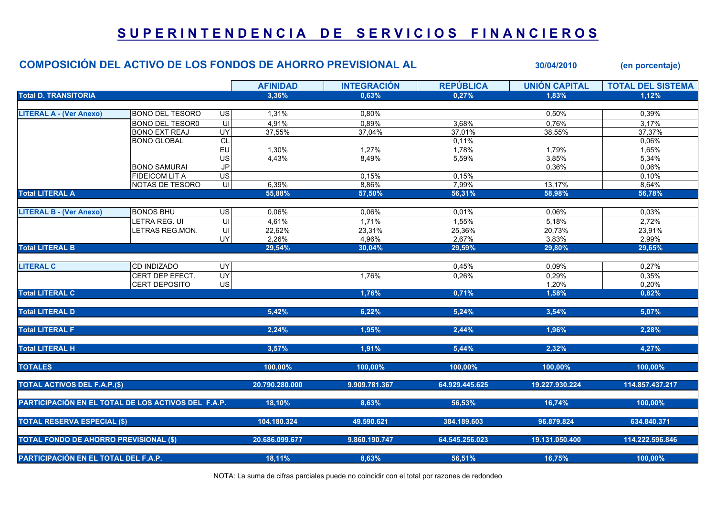## SUPERINTENDENCIA DE SERVICIOS FINANCIEROS

|                                                     | <b>COMPOSICIÓN DEL ACTIVO DE LOS FONDOS DE AHORRO PREVISIONAL AL</b> |                                    |                 |                    |                  | 30/04/2010           | (en porcentaje)          |
|-----------------------------------------------------|----------------------------------------------------------------------|------------------------------------|-----------------|--------------------|------------------|----------------------|--------------------------|
|                                                     |                                                                      |                                    | <b>AFINIDAD</b> | <b>INTEGRACIÓN</b> | <b>REPÚBLICA</b> | <b>UNIÓN CAPITAL</b> | <b>TOTAL DEL SISTEMA</b> |
| <b>Total D. TRANSITORIA</b>                         |                                                                      |                                    | 3,36%           | 0,63%              | 0,27%            | 1,83%                | 1,12%                    |
|                                                     |                                                                      |                                    |                 |                    |                  |                      |                          |
| <b>LITERAL A - (Ver Anexo)</b>                      | <b>BONO DEL TESORO</b>                                               | <b>US</b>                          | 1,31%           | 0,80%              |                  | 0,50%                | 0,39%                    |
|                                                     | <b>BONO DEL TESOR0</b>                                               | ς                                  | 4,91%           | 0,89%              | 3,68%            | 0,76%                | 3,17%                    |
|                                                     | <b>BONO EXT REAJ</b>                                                 | UY                                 | 37,55%          | 37,04%             | 37,01%           | 38,55%               | 37,37%                   |
|                                                     | <b>BONO GLOBAL</b>                                                   | CL                                 |                 |                    | 0,11%            |                      | 0,06%                    |
|                                                     |                                                                      | EU                                 | 1,30%           | 1,27%              | 1,78%            | 1,79%                | 1,65%                    |
|                                                     |                                                                      | US                                 | 4,43%           | 8,49%              | 5,59%            | 3,85%                | 5,34%                    |
|                                                     | <b>BONO SAMURAI</b>                                                  | J <sub>P</sub>                     |                 |                    |                  | 0,36%                | 0,06%                    |
|                                                     | <b>FIDEICOM LIT A</b>                                                | $\overline{\mathsf{us}}$           |                 | 0,15%              | 0,15%            |                      | 0,10%                    |
|                                                     | NOTAS DE TESORO                                                      | $\overline{\overline{\mathsf{c}}}$ | 6,39%           | 8,86%              | 7,99%            | 13,17%               | 8,64%                    |
| <b>Total LITERAL A</b>                              |                                                                      |                                    | 55,88%          | 57,50%             | 56,31%           | 58,98%               | 56,78%                   |
| <b>LITERAL B - (Ver Anexo)</b>                      | <b>BONOS BHU</b>                                                     | <b>US</b>                          | 0,06%           | 0,06%              | 0,01%            | 0,06%                | 0,03%                    |
|                                                     |                                                                      | S                                  |                 |                    |                  |                      |                          |
|                                                     | LETRA REG. UI                                                        |                                    | 4,61%           | 1,71%              | 1,55%            | 5,18%                | 2,72%                    |
|                                                     | LETRAS REG.MON.                                                      | $\equiv$                           | 22,62%          | 23,31%             | 25,36%           | 20,73%               | 23,91%                   |
|                                                     |                                                                      | UY                                 | 2,26%           | 4,96%              | 2,67%            | 3,83%                | 2,99%                    |
| <b>Total LITERAL B</b>                              |                                                                      |                                    | 29,54%          | 30,04%             | 29,59%           | 29,80%               | 29,65%                   |
| <b>LITERAL C</b>                                    | CD INDIZADO                                                          | UY                                 |                 |                    | 0,45%            | 0,09%                | 0,27%                    |
|                                                     | CERT DEP EFECT.                                                      | <b>UY</b>                          |                 | 1,76%              | 0,26%            | 0,29%                | 0,35%                    |
|                                                     | <b>CERT DEPOSITO</b>                                                 | US <sup></sup>                     |                 |                    |                  | 1,20%                | 0,20%                    |
| <b>Total LITERAL C</b>                              |                                                                      |                                    |                 | 1,76%              | 0,71%            | 1,58%                | 0,82%                    |
|                                                     |                                                                      |                                    |                 |                    |                  |                      |                          |
| <b>Total LITERAL D</b>                              |                                                                      |                                    | 5,42%           | 6,22%              | 5,24%            | 3,54%                | 5,07%                    |
| <b>Total LITERAL F</b>                              |                                                                      |                                    | 2,24%           | 1,95%              | 2,44%            | 1,96%                | 2,28%                    |
|                                                     |                                                                      |                                    |                 |                    |                  |                      |                          |
| <b>Total LITERAL H</b>                              |                                                                      |                                    | 3,57%           | 1,91%              | 5,44%            | 2,32%                | 4,27%                    |
| <b>TOTALES</b>                                      |                                                                      |                                    | 100,00%         | 100,00%            | 100,00%          | 100,00%              | 100,00%                  |
| <b>TOTAL ACTIVOS DEL F.A.P.(\$)</b>                 |                                                                      |                                    | 20.790.280.000  | 9.909.781.367      | 64.929.445.625   | 19.227.930.224       | 114.857.437.217          |
|                                                     |                                                                      |                                    |                 |                    |                  |                      |                          |
| PARTICIPACIÓN EN EL TOTAL DE LOS ACTIVOS DEL F.A.P. |                                                                      |                                    | 18,10%          | 8,63%              | 56,53%           | 16,74%               | 100,00%                  |
| <b>TOTAL RESERVA ESPECIAL (\$)</b>                  |                                                                      |                                    | 104.180.324     | 49.590.621         | 384.189.603      | 96.879.824           | 634.840.371              |
| <b>TOTAL FONDO DE AHORRO PREVISIONAL (\$)</b>       |                                                                      | 20.686.099.677                     | 9.860.190.747   | 64.545.256.023     | 19.131.050.400   | 114.222.596.846      |                          |
| PARTICIPACIÓN EN EL TOTAL DEL F.A.P.                |                                                                      | 18,11%                             | 8,63%           | 56,51%             | 16,75%           | 100,00%              |                          |

NOTA: La suma de cifras parciales puede no coincidir con el total por razones de redondeo